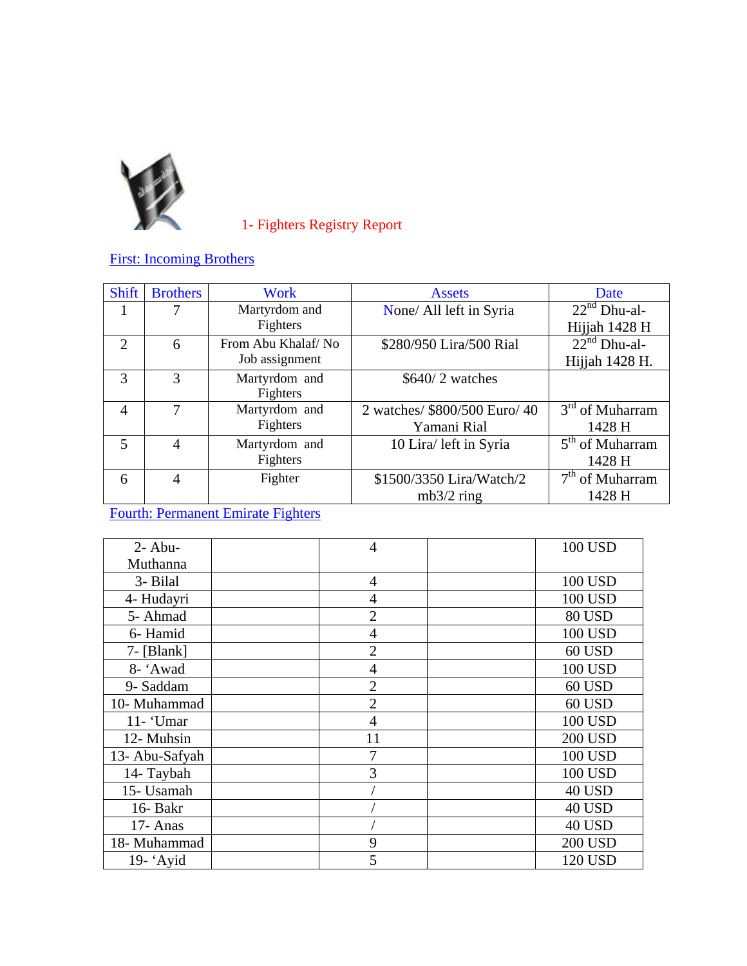

1- Fighters Registry Report

First: Incoming Brothers

| <b>Shift</b>   | <b>Brothers</b> | Work               | <b>Assets</b>                 | Date              |
|----------------|-----------------|--------------------|-------------------------------|-------------------|
| 1              |                 | Martyrdom and      | None/ All left in Syria       | $22nd Dhu-al-$    |
|                |                 | Fighters           |                               | Hijjah 1428 H     |
| $\overline{2}$ | 6               | From Abu Khalaf/No | \$280/950 Lira/500 Rial       | $22nd$ Dhu-al-    |
|                |                 | Job assignment     |                               | Hijjah 1428 H.    |
| 3              | $\mathcal{R}$   | Martyrdom and      | $$640/2$ watches              |                   |
|                |                 | Fighters           |                               |                   |
| $\overline{4}$ | 7               | Martyrdom and      | 2 watches/ \$800/500 Euro/ 40 | $3rd$ of Muharram |
|                |                 | Fighters           | Yamani Rial                   | 1428 H            |
| 5              | 4               | Martyrdom and      | 10 Lira/ left in Syria        | $5th$ of Muharram |
|                |                 | Fighters           |                               | 1428 H            |
| 6              | 4               | Fighter            | \$1500/3350 Lira/Watch/2      | $7th$ of Muharram |
|                |                 |                    | $mb3/2$ ring                  | 1428 H            |

Fourth: Permanent Emirate Fighters

| $2 - Abu$      | $\overline{4}$ | 100 USD        |
|----------------|----------------|----------------|
| Muthanna       |                |                |
| 3- Bilal       | $\overline{4}$ | <b>100 USD</b> |
| 4- Hudayri     | 4              | <b>100 USD</b> |
| 5- Ahmad       | $\overline{2}$ | <b>80 USD</b>  |
| 6- Hamid       | 4              | <b>100 USD</b> |
| $7 - [Blank]$  | 2              | 60 USD         |
| 8- 'Awad       | 4              | <b>100 USD</b> |
| 9- Saddam      | 2              | 60 USD         |
| 10- Muhammad   | $\overline{2}$ | 60 USD         |
| $11 - 'Umar$   | 4              | <b>100 USD</b> |
| 12- Muhsin     | 11             | <b>200 USD</b> |
| 13- Abu-Safyah | 7              | <b>100 USD</b> |
| 14- Taybah     | 3              | <b>100 USD</b> |
| 15- Usamah     |                | <b>40 USD</b>  |
| 16- Bakr       |                | 40 USD         |
| 17- Anas       |                | <b>40 USD</b>  |
| 18- Muhammad   | 9              | <b>200 USD</b> |
| $19$ - 'Ayid   | 5              | 120 USD        |